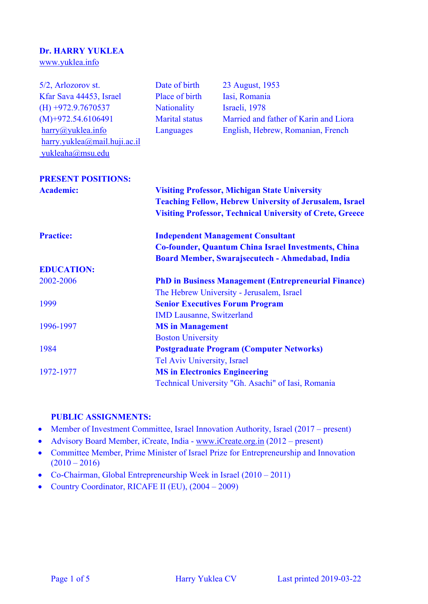# **Dr. HARRY YUKLEA**

[www.yuklea.info](http://www.yuklea.info/)

| 5/2, Arlozorov st.           | Date of birth                                                                                                          | 23 August, 1953                                                  |  |
|------------------------------|------------------------------------------------------------------------------------------------------------------------|------------------------------------------------------------------|--|
| Kfar Sava 44453, Israel      | Place of birth                                                                                                         | Iasi, Romania                                                    |  |
| $(H) +972.9.7670537$         | <b>Nationality</b>                                                                                                     | Israeli, 1978                                                    |  |
| $(M)+972.54.6106491$         | <b>Marital</b> status                                                                                                  | Married and father of Karin and Liora                            |  |
| harrow@yuklea.info           | Languages                                                                                                              | English, Hebrew, Romanian, French                                |  |
| harry.yuklea@mail.huji.ac.il |                                                                                                                        |                                                                  |  |
| yukleaha@msu.edu             |                                                                                                                        |                                                                  |  |
| <b>PRESENT POSITIONS:</b>    |                                                                                                                        |                                                                  |  |
| <b>Academic:</b>             | <b>Visiting Professor, Michigan State University</b><br><b>Teaching Fellow, Hebrew University of Jerusalem, Israel</b> |                                                                  |  |
|                              |                                                                                                                        |                                                                  |  |
|                              |                                                                                                                        | <b>Visiting Professor, Technical University of Crete, Greece</b> |  |
| <b>Practice:</b>             | <b>Independent Management Consultant</b><br><b>Co-founder, Quantum China Israel Investments, China</b>                 |                                                                  |  |
|                              |                                                                                                                        |                                                                  |  |
|                              | <b>EDUCATION:</b>                                                                                                      |                                                                  |  |
| 2002-2006                    | <b>PhD in Business Management (Entrepreneurial Finance)</b>                                                            |                                                                  |  |
|                              | The Hebrew University - Jerusalem, Israel                                                                              |                                                                  |  |
| 1999                         | <b>Senior Executives Forum Program</b>                                                                                 |                                                                  |  |
|                              | <b>IMD Lausanne, Switzerland</b>                                                                                       |                                                                  |  |
| 1996-1997                    | <b>MS</b> in Management                                                                                                |                                                                  |  |
|                              | <b>Boston University</b>                                                                                               |                                                                  |  |
| 1984                         | <b>Postgraduate Program (Computer Networks)</b>                                                                        |                                                                  |  |
|                              | Tel Aviv University, Israel                                                                                            |                                                                  |  |
| 1972-1977                    | <b>MS in Electronics Engineering</b>                                                                                   |                                                                  |  |
|                              | Technical University "Gh. Asachi" of Iasi, Romania                                                                     |                                                                  |  |

### **PUBLIC ASSIGNMENTS:**

- Member of Investment Committee, Israel Innovation Authority, Israel (2017 present)
- Advisory Board Member, iCreate, India [www.iCreate.org.in](http://www.icreate.org.in/) (2012 present)
- Committee Member, Prime Minister of Israel Prize for Entrepreneurship and Innovation  $(2010 - 2016)$
- Co-Chairman, Global Entrepreneurship Week in Israel (2010 2011)
- Country Coordinator, RICAFE II (EU), (2004 2009)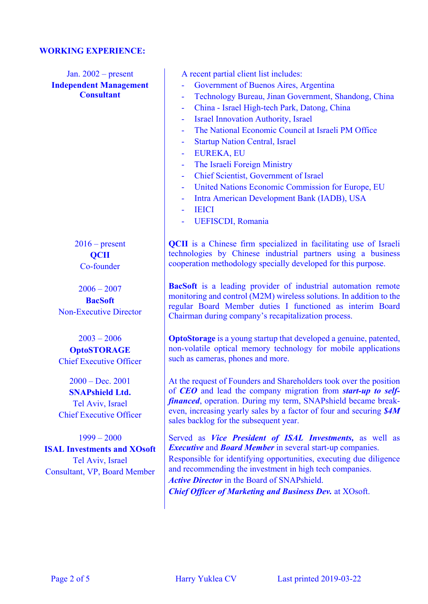#### **WORKING EXPERIENCE:**

Jan. 2002 – present **Independent Management Consultant**

> $2016$  – present **QCII** Co-founder

 $2006 - 2007$ **BacSoft** Non-Executive Director

2003 – 2006 **OptoSTORAGE** Chief Executive Officer

2000 – Dec. 2001 **SNAPshield Ltd.** Tel Aviv, Israel Chief Executive Officer

1999 – 2000 **ISAL Investments and XOsoft** Tel Aviv, Israel Consultant, VP, Board Member

A recent partial client list includes:

- Government of Buenos Aires, Argentina
- Technology Bureau, Jinan Government, Shandong, China
- China Israel High-tech Park, Datong, China
- Israel Innovation Authority, Israel
- The National Economic Council at Israeli PM Office
- **Startup Nation Central, Israel**
- EUREKA, EU
- The Israeli Foreign Ministry
- Chief Scientist, Government of Israel
- United Nations Economic Commission for Europe, EU
- Intra American Development Bank (IADB), USA
- **IEICI**
- UEFISCDI, Romania

**OCII** is a Chinese firm specialized in facilitating use of Israeli technologies by Chinese industrial partners using a business cooperation methodology specially developed for this purpose.

**BacSoft** is a leading provider of industrial automation remote monitoring and control (M2M) wireless solutions. In addition to the regular Board Member duties I functioned as interim Board Chairman during company's recapitalization process.

**OptoStorage** is a young startup that developed a genuine, patented, non-volatile optical memory technology for mobile applications such as cameras, phones and more.

At the request of Founders and Shareholders took over the position of *CEO* and lead the company migration from *start-up to selffinanced*, operation. During my term, SNAPshield became breakeven, increasing yearly sales by a factor of four and securing *\$4M* sales backlog for the subsequent year.

Served as *Vice President of ISAL Investments,* as well as *Executive* and *Board Member* in several start-up companies. Responsible for identifying opportunities, executing due diligence and recommending the investment in high tech companies. *Active Director* in the Board of SNAPshield.

*Chief Officer of Marketing and Business Dev.* at XOsoft.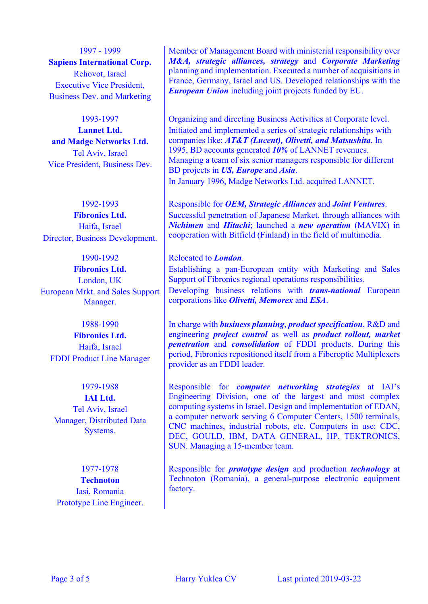1997 - 1999 **Sapiens International Corp.** Rehovot, Israel Executive Vice President, Business Dev. and Marketing

1993-1997

**Lannet Ltd. and Madge Networks Ltd.** Tel Aviv, Israel Vice President, Business Dev.

1992-1993 **Fibronics Ltd.** Haifa, Israel Director, Business Development.

1990-1992 **Fibronics Ltd.** London, UK European Mrkt. and Sales Support Manager.

#### 1988-1990

**Fibronics Ltd.** Haifa, Israel FDDI Product Line Manager

1979-1988 **IAI Ltd.** Tel Aviv, Israel Manager, Distributed Data Systems.

1977-1978 **Technoton** Iasi, Romania Prototype Line Engineer. Member of Management Board with ministerial responsibility over *M&A, strategic alliances, strategy* and *Corporate Marketing* planning and implementation. Executed a number of acquisitions in France, Germany, Israel and US. Developed relationships with the *European Union* including joint projects funded by EU.

Organizing and directing Business Activities at Corporate level. Initiated and implemented a series of strategic relationships with companies like: *AT&T (Lucent), Olivetti, and Matsushita*. In 1995, BD accounts generated *10%* of LANNET revenues. Managing a team of six senior managers responsible for different BD projects in *US, Europe* and *Asia*. In January 1996, Madge Networks Ltd. acquired LANNET.

Responsible for *OEM, Strategic Alliances* and *Joint Ventures*. Successful penetration of Japanese Market, through alliances with *Nichimen* and *Hitachi*; launched a *new operation* (MAVIX) in cooperation with Bitfield (Finland) in the field of multimedia.

Relocated to *London*. Establishing a pan-European entity with Marketing and Sales Support of Fibronics regional operations responsibilities. Developing business relations with *trans-national* European corporations like *Olivetti, Memorex* and *ESA*.

In charge with *business planning*, *product specification*, R&D and engineering *project control* as well as *product rollout, market penetration* and *consolidation* of FDDI products. During this period, Fibronics repositioned itself from a Fiberoptic Multiplexers provider as an FDDI leader.

Responsible for *computer networking strategies* at IAI's Engineering Division, one of the largest and most complex computing systems in Israel. Design and implementation of EDAN, a computer network serving 6 Computer Centers, 1500 terminals, CNC machines, industrial robots, etc. Computers in use: CDC, DEC, GOULD, IBM, DATA GENERAL, HP, TEKTRONICS, SUN. Managing a 15-member team.

Responsible for *prototype design* and production *technology* at Technoton (Romania), a general-purpose electronic equipment factory.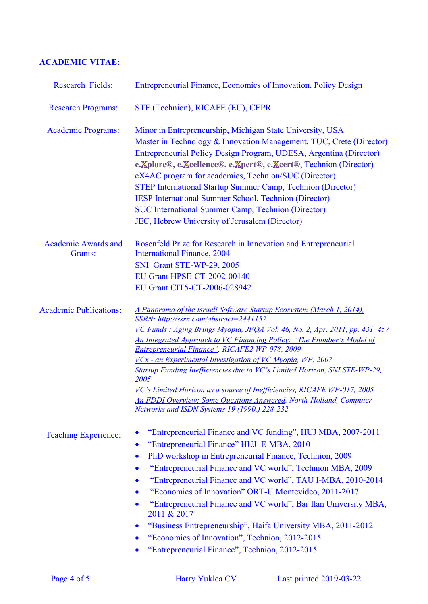## **ACADEMIC VITAE:**

| <b>Research Fields:</b>               | Entrepreneurial Finance, Economics of Innovation, Policy Design                                                                                                                                                                                                                                                                                                                                                                                                                                                                                                                                                                                                                                  |
|---------------------------------------|--------------------------------------------------------------------------------------------------------------------------------------------------------------------------------------------------------------------------------------------------------------------------------------------------------------------------------------------------------------------------------------------------------------------------------------------------------------------------------------------------------------------------------------------------------------------------------------------------------------------------------------------------------------------------------------------------|
| <b>Research Programs:</b>             | STE (Technion), RICAFE (EU), CEPR                                                                                                                                                                                                                                                                                                                                                                                                                                                                                                                                                                                                                                                                |
| <b>Academic Programs:</b>             | Minor in Entrepreneurship, Michigan State University, USA<br>Master in Technology & Innovation Management, TUC, Crete (Director)<br>Entrepreneurial Policy Design Program, UDESA, Argentina (Director)<br>e.Xplore®, e.Xcellence®, e.Xpert®, e.Xcert®, Technion (Director)<br>eX4AC program for academics, Technion/SUC (Director)<br><b>STEP International Startup Summer Camp, Technion (Director)</b><br><b>IESP International Summer School, Technion (Director)</b><br><b>SUC International Summer Camp, Technion (Director)</b><br>JEC, Hebrew University of Jerusalem (Director)                                                                                                          |
| <b>Academic Awards and</b><br>Grants: | Rosenfeld Prize for Research in Innovation and Entrepreneurial<br><b>International Finance</b> , 2004<br><b>SNI</b> Grant STE-WP-29, 2005<br>EU Grant HPSE-CT-2002-00140<br>EU Grant CIT5-CT-2006-028942                                                                                                                                                                                                                                                                                                                                                                                                                                                                                         |
| <b>Academic Publications:</b>         | A Panorama of the Israeli Software Startup Ecosystem (March 1, 2014),<br>SSRN: http://ssrn.com/abstract=2441157<br>VC Funds: Aging Brings Myopia, JFQA Vol. 46, No. 2, Apr. 2011, pp. 431-457<br>An Integrated Approach to VC Financing Policy: "The Plumber's Model of<br>Entrepreneurial Finance", RICAFE2 WP-078, 2009<br>VCx - an Experimental Investigation of VC Myopia, WP, 2007<br>Startup Funding Inefficiencies due to VC's Limited Horizon, SNI STE-WP-29,<br>2005<br>VC's Limited Horizon as a source of Inefficiencies, RICAFE WP-017, 2005<br><b>An FDDI Overview: Some Questions Answered, North-Holland, Computer</b><br>Networks and ISDN Systems 19 (1990,) 228-232            |
| <b>Teaching Experience:</b>           | "Entrepreneurial Finance and VC funding", HUJ MBA, 2007-2011<br>$\bullet$<br>"Entrepreneurial Finance" HUJ E-MBA, 2010<br>$\bullet$<br>PhD workshop in Entrepreneurial Finance, Technion, 2009<br>$\bullet$<br>"Entrepreneurial Finance and VC world", Technion MBA, 2009<br>$\bullet$<br>"Entrepreneurial Finance and VC world", TAU I-MBA, 2010-2014<br>"Economics of Innovation" ORT-U Montevideo, 2011-2017<br>"Entrepreneurial Finance and VC world", Bar Ilan University MBA,<br>2011 & 2017<br>"Business Entrepreneurship", Haifa University MBA, 2011-2012<br>$\bullet$<br>"Economics of Innovation", Technion, 2012-2015<br>$\bullet$<br>"Entrepreneurial Finance", Technion, 2012-2015 |